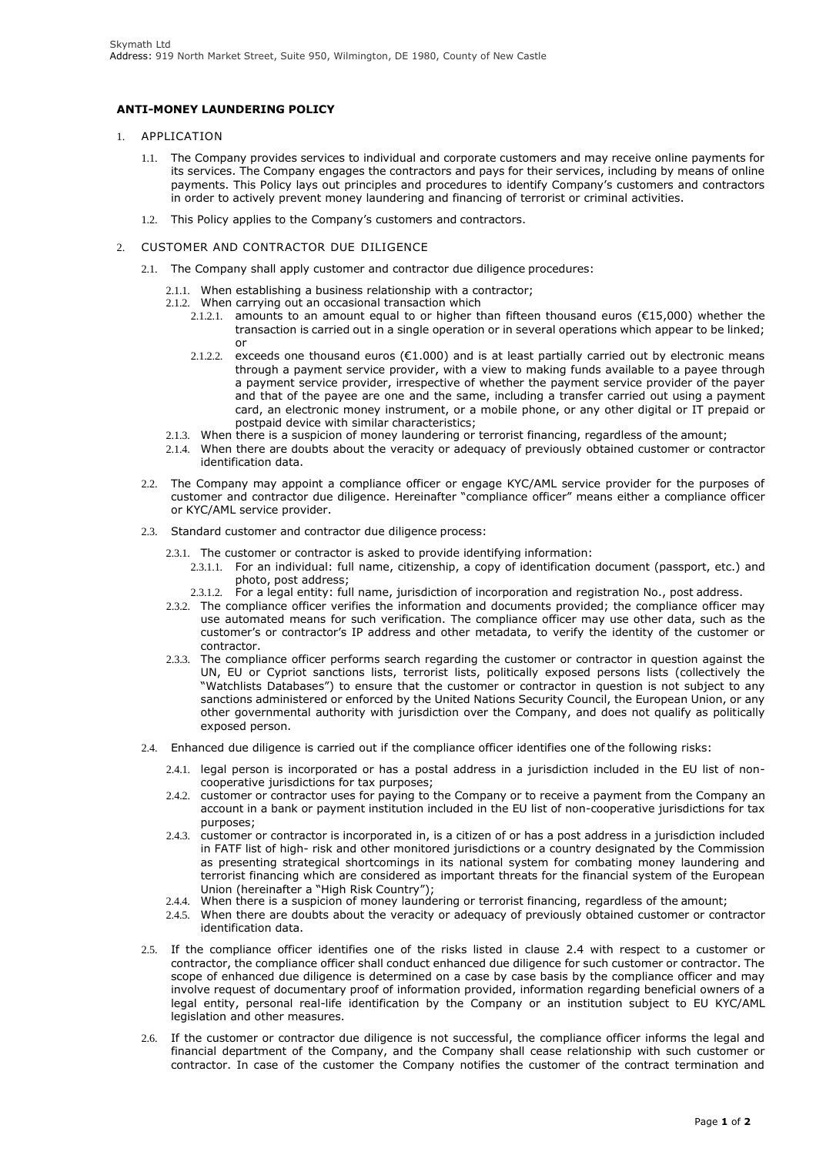## **ANTI-MONEY LAUNDERING POLICY**

- 1. APPLICATION
	- 1.1. The Company provides services to individual and corporate customers and may receive online payments for its services. The Company engages the contractors and pays for their services, including by means of online payments. This Policy lays out principles and procedures to identify Company's customers and contractors in order to actively prevent money laundering and financing of terrorist or criminal activities.
	- 1.2. This Policy applies to the Company's customers and contractors.
- <span id="page-0-0"></span>2. CUSTOMER AND CONTRACTOR DUE DILIGENCE
	- 2.1. The Company shall apply customer and contractor due diligence procedures:
		- 2.1.1. When establishing a business relationship with a contractor;
		- 2.1.2. When carrying out an occasional transaction which
			- 2.1.2.1. amounts to an amount equal to or higher than fifteen thousand euros ( $\epsilon$ 15,000) whether the transaction is carried out in a single operation or in several operations which appear to be linked; or
			- 2.1.2.2. exceeds one thousand euros ( $E1.000$ ) and is at least partially carried out by electronic means through a payment service provider, with a view to making funds available to a payee through a payment service provider, irrespective of whether the payment service provider of the payer and that of the payee are one and the same, including a transfer carried out using a payment card, an electronic money instrument, or a mobile phone, or any other digital or IT prepaid or postpaid device with similar characteristics;
		- 2.1.3. When there is a suspicion of money laundering or terrorist financing, regardless of the amount;
		- 2.1.4. When there are doubts about the veracity or adequacy of previously obtained customer or contractor identification data.
	- 2.2. The Company may appoint a compliance officer or engage KYC/AML service provider for the purposes of customer and contractor due diligence. Hereinafter "compliance officer" means either a compliance officer or KYC/AML service provider.
	- 2.3. Standard customer and contractor due diligence process:
		- 2.3.1. The customer or contractor is asked to provide identifying information:
			- 2.3.1.1. For an individual: full name, citizenship, a copy of identification document (passport, etc.) and photo, post address;
			- 2.3.1.2. For a legal entity: full name, jurisdiction of incorporation and registration No., post address.
		- 2.3.2. The compliance officer verifies the information and documents provided; the compliance officer may use automated means for such verification. The compliance officer may use other data, such as the customer's or contractor's IP address and other metadata, to verify the identity of the customer or contractor.
		- 2.3.3. The compliance officer performs search regarding the customer or contractor in question against the UN, EU or Cypriot sanctions lists, terrorist lists, politically exposed persons lists (collectively the "Watchlists Databases") to ensure that the customer or contractor in question is not subject to any sanctions administered or enforced by the United Nations Security Council, the European Union, or any other governmental authority with jurisdiction over the Company, and does not qualify as politically exposed person.
	- 2.4. Enhanced due diligence is carried out if the compliance officer identifies one of the following risks:
		- 2.4.1. legal person is incorporated or has a postal address in a jurisdiction included in the EU list of noncooperative jurisdictions for tax purposes;
		- 2.4.2. customer or contractor uses for paying to the Company or to receive a payment from the Company an account in a bank or payment institution included in the EU list of non-cooperative jurisdictions for tax purposes;
		- 2.4.3. customer or contractor is incorporated in, is a citizen of or has a post address in a jurisdiction included in FATF list of high- risk and other monitored jurisdictions or a country designated by the Commission as presenting strategical shortcomings in its national system for combating money laundering and terrorist financing which are considered as important threats for the financial system of the European Union (hereinafter a "High Risk Country");
		- 2.4.4. When there is a suspicion of money laundering or terrorist financing, regardless of the amount;
		- 2.4.5. When there are doubts about the veracity or adequacy of previously obtained customer or contractor identification data.
	- 2.5. If the compliance officer identifies one of the risks listed in clause [2.4 w](#page-0-0)ith respect to a customer or contractor, the compliance officer shall conduct enhanced due diligence for such customer or contractor. The scope of enhanced due diligence is determined on a case by case basis by the compliance officer and may involve request of documentary proof of information provided, information regarding beneficial owners of a legal entity, personal real-life identification by the Company or an institution subject to EU KYC/AML legislation and other measures.
	- 2.6. If the customer or contractor due diligence is not successful, the compliance officer informs the legal and financial department of the Company, and the Company shall cease relationship with such customer or contractor. In case of the customer the Company notifies the customer of the contract termination and